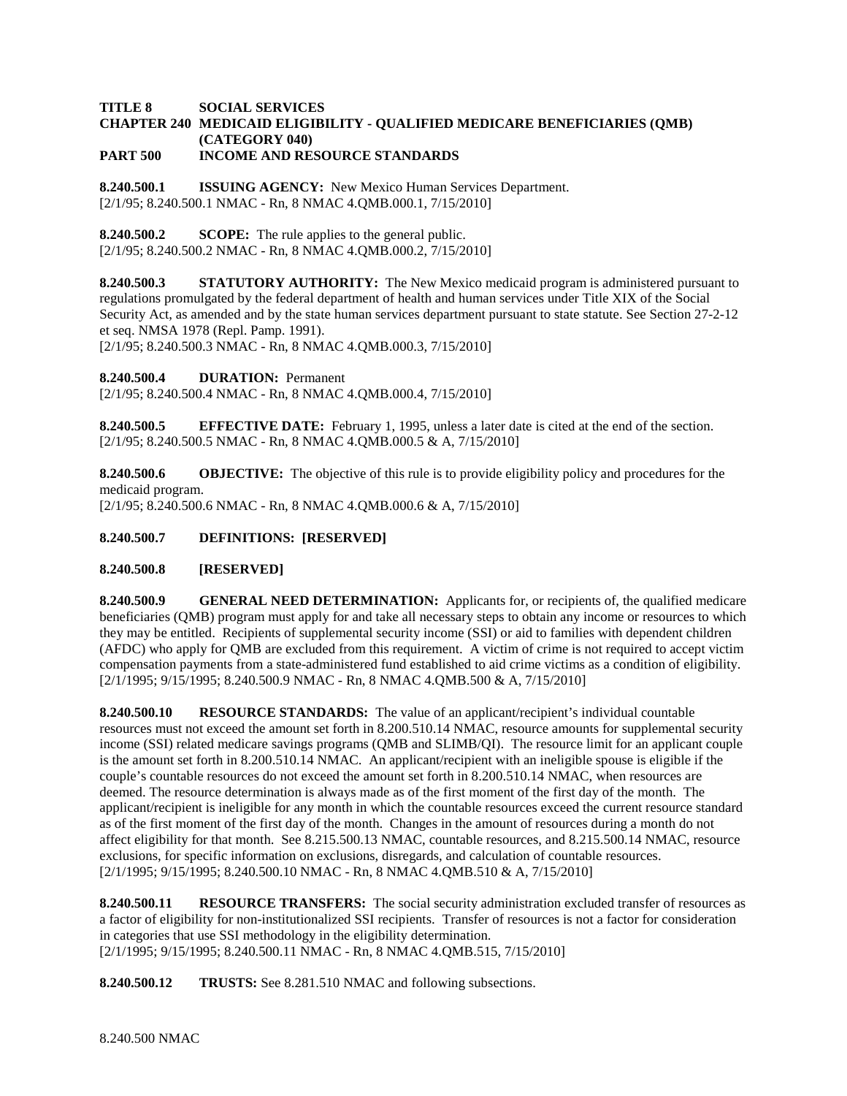#### **TITLE 8 SOCIAL SERVICES CHAPTER 240 MEDICAID ELIGIBILITY - QUALIFIED MEDICARE BENEFICIARIES (QMB) (CATEGORY 040) PART 500 INCOME AND RESOURCE STANDARDS**

**8.240.500.1 ISSUING AGENCY:** New Mexico Human Services Department. [2/1/95; 8.240.500.1 NMAC - Rn, 8 NMAC 4.QMB.000.1, 7/15/2010]

**8.240.500.2 SCOPE:** The rule applies to the general public. [2/1/95; 8.240.500.2 NMAC - Rn, 8 NMAC 4.QMB.000.2, 7/15/2010]

**8.240.500.3 STATUTORY AUTHORITY:** The New Mexico medicaid program is administered pursuant to regulations promulgated by the federal department of health and human services under Title XIX of the Social Security Act, as amended and by the state human services department pursuant to state statute. See Section 27-2-12 et seq. NMSA 1978 (Repl. Pamp. 1991).

[2/1/95; 8.240.500.3 NMAC - Rn, 8 NMAC 4.QMB.000.3, 7/15/2010]

**8.240.500.4 DURATION:** Permanent

[2/1/95; 8.240.500.4 NMAC - Rn, 8 NMAC 4.QMB.000.4, 7/15/2010]

**8.240.500.5 EFFECTIVE DATE:** February 1, 1995, unless a later date is cited at the end of the section. [2/1/95; 8.240.500.5 NMAC - Rn, 8 NMAC 4.QMB.000.5 & A, 7/15/2010]

**8.240.500.6 OBJECTIVE:** The objective of this rule is to provide eligibility policy and procedures for the medicaid program.

[2/1/95; 8.240.500.6 NMAC - Rn, 8 NMAC 4.QMB.000.6 & A, 7/15/2010]

# **8.240.500.7 DEFINITIONS: [RESERVED]**

#### **8.240.500.8 [RESERVED]**

**8.240.500.9 GENERAL NEED DETERMINATION:** Applicants for, or recipients of, the qualified medicare beneficiaries (QMB) program must apply for and take all necessary steps to obtain any income or resources to which they may be entitled. Recipients of supplemental security income (SSI) or aid to families with dependent children (AFDC) who apply for QMB are excluded from this requirement. A victim of crime is not required to accept victim compensation payments from a state-administered fund established to aid crime victims as a condition of eligibility. [2/1/1995; 9/15/1995; 8.240.500.9 NMAC - Rn, 8 NMAC 4.QMB.500 & A, 7/15/2010]

**8.240.500.10 RESOURCE STANDARDS:** The value of an applicant/recipient's individual countable resources must not exceed the amount set forth in 8.200.510.14 NMAC, resource amounts for supplemental security income (SSI) related medicare savings programs (QMB and SLIMB/QI). The resource limit for an applicant couple is the amount set forth in 8.200.510.14 NMAC. An applicant/recipient with an ineligible spouse is eligible if the couple's countable resources do not exceed the amount set forth in 8.200.510.14 NMAC, when resources are deemed. The resource determination is always made as of the first moment of the first day of the month. The applicant/recipient is ineligible for any month in which the countable resources exceed the current resource standard as of the first moment of the first day of the month. Changes in the amount of resources during a month do not affect eligibility for that month. See 8.215.500.13 NMAC, countable resources, and 8.215.500.14 NMAC, resource exclusions, for specific information on exclusions, disregards, and calculation of countable resources. [2/1/1995; 9/15/1995; 8.240.500.10 NMAC - Rn, 8 NMAC 4.QMB.510 & A, 7/15/2010]

**8.240.500.11 RESOURCE TRANSFERS:** The social security administration excluded transfer of resources as a factor of eligibility for non-institutionalized SSI recipients. Transfer of resources is not a factor for consideration in categories that use SSI methodology in the eligibility determination. [2/1/1995; 9/15/1995; 8.240.500.11 NMAC - Rn, 8 NMAC 4.QMB.515, 7/15/2010]

**8.240.500.12 TRUSTS:** See 8.281.510 NMAC and following subsections.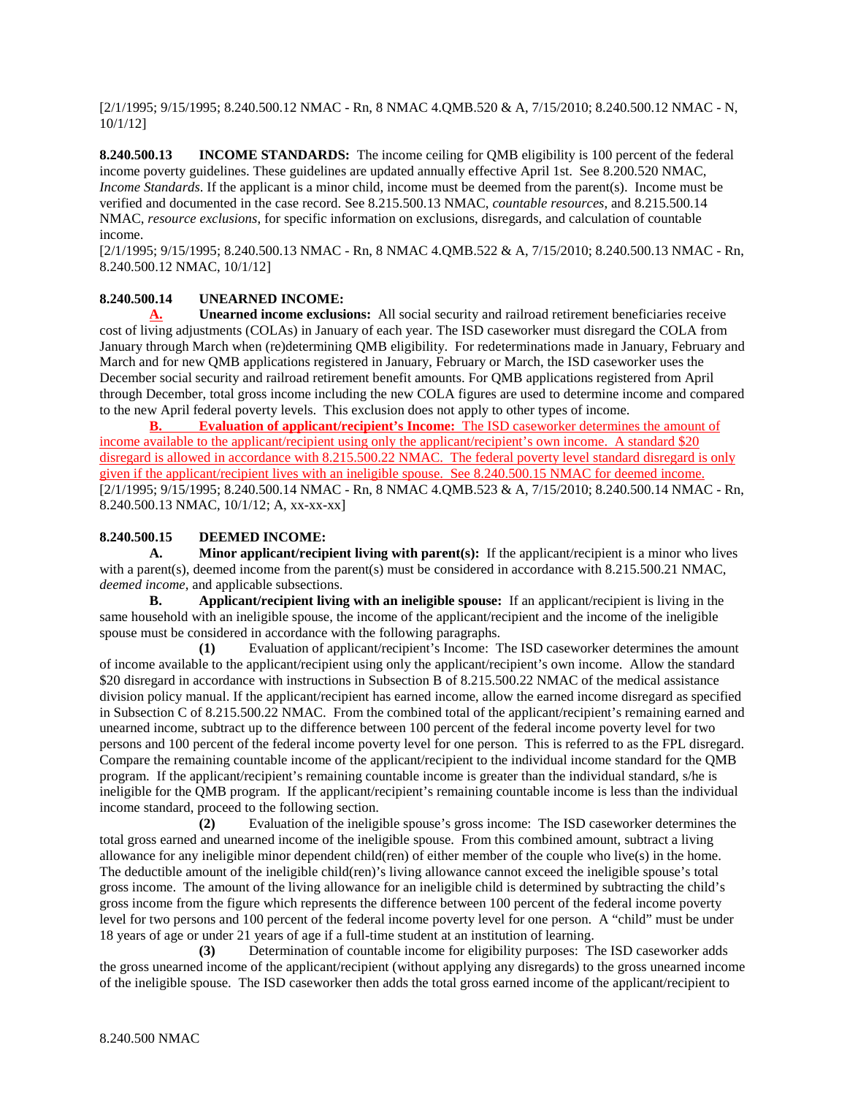[2/1/1995; 9/15/1995; 8.240.500.12 NMAC - Rn, 8 NMAC 4.QMB.520 & A, 7/15/2010; 8.240.500.12 NMAC - N, 10/1/12]

**8.240.500.13 INCOME STANDARDS:** The income ceiling for QMB eligibility is 100 percent of the federal income poverty guidelines. These guidelines are updated annually effective April 1st. See 8.200.520 NMAC, *Income Standards*. If the applicant is a minor child, income must be deemed from the parent(s). Income must be verified and documented in the case record. See 8.215.500.13 NMAC, *countable resources*, and 8.215.500.14 NMAC, *resource exclusions*, for specific information on exclusions, disregards, and calculation of countable income.

[2/1/1995; 9/15/1995; 8.240.500.13 NMAC - Rn, 8 NMAC 4.QMB.522 & A, 7/15/2010; 8.240.500.13 NMAC - Rn, 8.240.500.12 NMAC, 10/1/12]

# **8.240.500.14 UNEARNED INCOME:**

**A. Unearned income exclusions:** All social security and railroad retirement beneficiaries receive cost of living adjustments (COLAs) in January of each year. The ISD caseworker must disregard the COLA from January through March when (re)determining QMB eligibility. For redeterminations made in January, February and March and for new QMB applications registered in January, February or March, the ISD caseworker uses the December social security and railroad retirement benefit amounts. For QMB applications registered from April through December, total gross income including the new COLA figures are used to determine income and compared to the new April federal poverty levels. This exclusion does not apply to other types of income.

**B. Evaluation of applicant/recipient's Income:** The ISD caseworker determines the amount of income available to the applicant/recipient using only the applicant/recipient's own income. A standard \$20 disregard is allowed in accordance with 8.215.500.22 NMAC. The federal poverty level standard disregard is only given if the applicant/recipient lives with an ineligible spouse. See 8.240.500.15 NMAC for deemed income. [2/1/1995; 9/15/1995; 8.240.500.14 NMAC - Rn, 8 NMAC 4.QMB.523 & A, 7/15/2010; 8.240.500.14 NMAC - Rn, 8.240.500.13 NMAC, 10/1/12; A, xx-xx-xx]

## **8.240.500.15 DEEMED INCOME:**

**A. Minor applicant/recipient living with parent(s):** If the applicant/recipient is a minor who lives with a parent(s), deemed income from the parent(s) must be considered in accordance with 8.215.500.21 NMAC, *deemed income*, and applicable subsections.<br>**B.** Applicant/recipient living

**B. Applicant/recipient living with an ineligible spouse:** If an applicant/recipient is living in the same household with an ineligible spouse, the income of the applicant/recipient and the income of the ineligible spouse must be considered in accordance with the following paragraphs.

**(1)** Evaluation of applicant/recipient's Income: The ISD caseworker determines the amount of income available to the applicant/recipient using only the applicant/recipient's own income. Allow the standard \$20 disregard in accordance with instructions in Subsection B of 8.215.500.22 NMAC of the medical assistance division policy manual. If the applicant/recipient has earned income, allow the earned income disregard as specified in Subsection C of 8.215.500.22 NMAC. From the combined total of the applicant/recipient's remaining earned and unearned income, subtract up to the difference between 100 percent of the federal income poverty level for two persons and 100 percent of the federal income poverty level for one person. This is referred to as the FPL disregard. Compare the remaining countable income of the applicant/recipient to the individual income standard for the QMB program. If the applicant/recipient's remaining countable income is greater than the individual standard, s/he is ineligible for the QMB program. If the applicant/recipient's remaining countable income is less than the individual income standard, proceed to the following section.

**(2)** Evaluation of the ineligible spouse's gross income: The ISD caseworker determines the total gross earned and unearned income of the ineligible spouse. From this combined amount, subtract a living allowance for any ineligible minor dependent child(ren) of either member of the couple who live(s) in the home. The deductible amount of the ineligible child(ren)'s living allowance cannot exceed the ineligible spouse's total gross income. The amount of the living allowance for an ineligible child is determined by subtracting the child's gross income from the figure which represents the difference between 100 percent of the federal income poverty level for two persons and 100 percent of the federal income poverty level for one person. A "child" must be under 18 years of age or under 21 years of age if a full-time student at an institution of learning.

**(3)** Determination of countable income for eligibility purposes: The ISD caseworker adds the gross unearned income of the applicant/recipient (without applying any disregards) to the gross unearned income of the ineligible spouse. The ISD caseworker then adds the total gross earned income of the applicant/recipient to